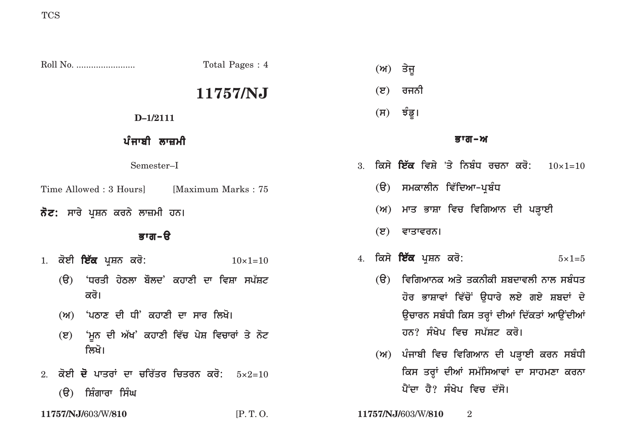Roll No. ........................ Total Pages : 4 **11757/NJ D–1/2111** ਪੰਜਾਬੀ ਲਾਜ਼ਮੀ Semester–I Time Allowed : 3 Hours [Maximum Marks : 75] **ਨੋਟ:** ਸਾਰੇ ਪੁਸ਼ਨ ਕਰਨੇ ਲਾਜ਼ਮੀ ਹਨ। ਕਾਗ–ੳ 1. ਕੋਈ **ਇੱਕ** ਪ੍ਰਸ਼ਨ ਕਰੋ:  $10 \times 1=10$ (ੳ) 'ਧਰਤੀ ਹੇਠਲਾ ਬੌਲਦ' ਕਹਾਣੀ ਦਾ ਵਿਸ਼ਾ ਸਪੱਸ਼ਟ <u>ਕ</u>ਰੋ। (ਅ) <sup>'</sup>ਪਠਾਣ ਦੀ ਧੀ' ਕਹਾਣੀ ਦਾ ਸਾਰ ਲਿਖੋ। **(e) 'mUn dI A`K' khwxI iv`c pyS ivcwrW qy not** ਲਿਖੋ। 2. **koeI d opwqrW dw cir`qr icqrn kro:** 5×2=10 (ੳ) ਸ਼ਿੰਗਾਰਾ ਸਿੰਘ **(A) qyjU (e) rjnI**  $(H)$  ਝੰਡੁ। <u>ਭਾਗ–ਅ</u> 3. ਕਿਸੇ **ਇੱਕ** ਵਿਸ਼ੇ 'ਤੇ ਨਿਬੰਧ ਰਚਨਾ ਕਰੋ: 10×1=10 (ੳ) ਸਮਕਾਲੀਨ ਵਿੱਦਿਆ**–ਪ੍ਰਬੰ**ਧ (ਅ) ਮਾਤ ਭਾਸ਼ਾ ਵਿਚ ਵਿਗਿਆਨ ਦੀ ਪੜ੍ਹਾਈ **(ੲ)** ਵਾਤਾਵਰਨ। 4. **iksy ie`k pRSn kro:** 5×1=5 (ੳ) ਵਿਗਿਆਨਕ ਅਤੇ ਤਕਨੀਕੀ ਸ਼ਬਦਾਵਲੀ ਨਾਲ ਸਬੰਧਤ ਹੋਰ ਭਾਸ਼ਾਵਾਂ ਵਿੱਚੋਂ **ੳਧਾਰੇ ਲਏ ਗਏ ਸ਼ਬਦਾਂ** ਦੇ ਉਚਾਰਨ ਸਬੰਧੀ ਕਿਸ ਤਰ੍ਹਾਂ ਦੀਆਂ ਦਿੱਕਤਾਂ ਆਉਂਦੀਆਂ <u>ਹਨ? ਸੰਖੇਪ ਵਿਚ ਸਪੱਸ਼ਟ ਕਰੋ।</u> (**и**) ਪੰਜਾਬੀ ਵਿਚ ਵਿਗਿਆਨ ਦੀ ਪੜ੍ਹਾਈ ਕਰਨ ਸਬੰਧੀ ਕਿਸ ਤਰ੍ਹਾਂ ਦੀਆਂ ਸਮੱਸਿਆਵਾਂ ਦਾ ਸਾਹਮਣਾ ਕਰਨਾ <u>ਪੈਂਦਾ ਹੈ? ਸੰਖੇਪ ਵਿਚ ਦੱਸੋ।</u>

**11757/NJ/**603/W/**810** [P. T. O. **11757/NJ/**603/W/**810** 2